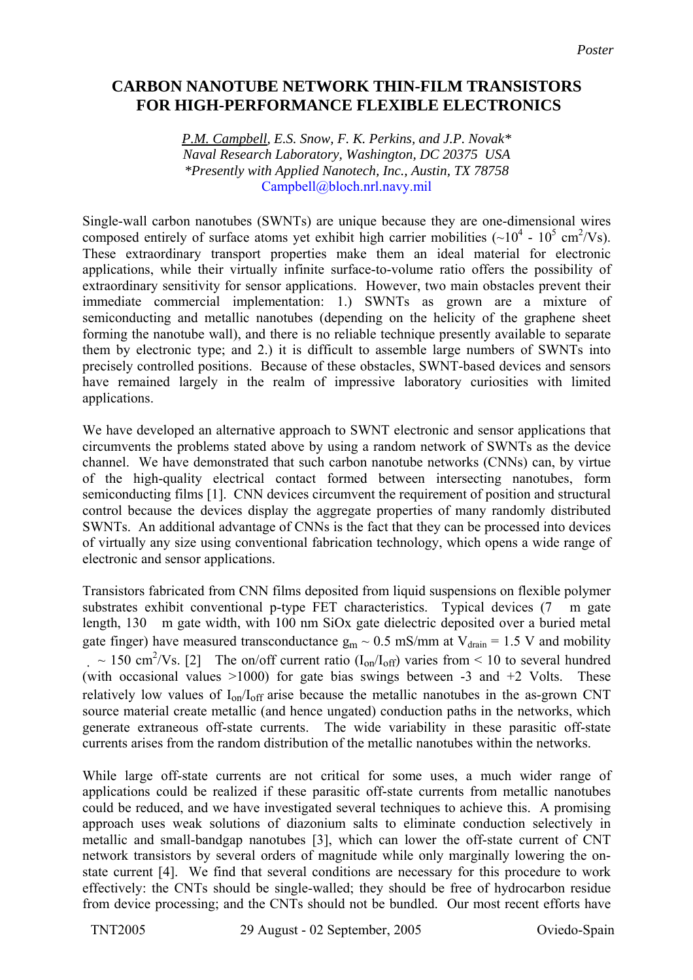## **CARBON NANOTUBE NETWORK THIN-FILM TRANSISTORS FOR HIGH-PERFORMANCE FLEXIBLE ELECTRONICS**

*P.M. Campbell, E.S. Snow, F. K. Perkins, and J.P. Novak\* Naval Research Laboratory, Washington, DC 20375 USA \*Presently with Applied Nanotech, Inc., Austin, TX 78758*  Campbell@bloch.nrl.navy.mil

Single-wall carbon nanotubes (SWNTs) are unique because they are one-dimensional wires composed entirely of surface atoms yet exhibit high carrier mobilities ( $\sim 10^4$  -  $10^5$  cm<sup>2</sup>/Vs). These extraordinary transport properties make them an ideal material for electronic applications, while their virtually infinite surface-to-volume ratio offers the possibility of extraordinary sensitivity for sensor applications. However, two main obstacles prevent their immediate commercial implementation: 1.) SWNTs as grown are a mixture of semiconducting and metallic nanotubes (depending on the helicity of the graphene sheet forming the nanotube wall), and there is no reliable technique presently available to separate them by electronic type; and 2.) it is difficult to assemble large numbers of SWNTs into precisely controlled positions. Because of these obstacles, SWNT-based devices and sensors have remained largely in the realm of impressive laboratory curiosities with limited applications.

We have developed an alternative approach to SWNT electronic and sensor applications that circumvents the problems stated above by using a random network of SWNTs as the device channel. We have demonstrated that such carbon nanotube networks (CNNs) can, by virtue of the high-quality electrical contact formed between intersecting nanotubes, form semiconducting films [1]. CNN devices circumvent the requirement of position and structural control because the devices display the aggregate properties of many randomly distributed SWNTs. An additional advantage of CNNs is the fact that they can be processed into devices of virtually any size using conventional fabrication technology, which opens a wide range of electronic and sensor applications.

Transistors fabricated from CNN films deposited from liquid suspensions on flexible polymer substrates exhibit conventional p-type FET characteristics. Typical devices (7 m gate length, 130 m gate width, with 100 nm SiOx gate dielectric deposited over a buried metal gate finger) have measured transconductance  $g_m \sim 0.5$  mS/mm at  $V_{drain} = 1.5$  V and mobility  $\sim 150 \text{ cm}^2/\text{Vs}$ . [2] The on/off current ratio (I<sub>on</sub>/I<sub>off</sub>) varies from < 10 to several hundred (with occasional values  $>1000$ ) for gate bias swings between -3 and +2 Volts. These relatively low values of  $I_{on}/I_{off}$  arise because the metallic nanotubes in the as-grown CNT source material create metallic (and hence ungated) conduction paths in the networks, which generate extraneous off-state currents. The wide variability in these parasitic off-state currents arises from the random distribution of the metallic nanotubes within the networks.

While large off-state currents are not critical for some uses, a much wider range of applications could be realized if these parasitic off-state currents from metallic nanotubes could be reduced, and we have investigated several techniques to achieve this. A promising approach uses weak solutions of diazonium salts to eliminate conduction selectively in metallic and small-bandgap nanotubes [3], which can lower the off-state current of CNT network transistors by several orders of magnitude while only marginally lowering the onstate current [4]. We find that several conditions are necessary for this procedure to work effectively: the CNTs should be single-walled; they should be free of hydrocarbon residue from device processing; and the CNTs should not be bundled. Our most recent efforts have